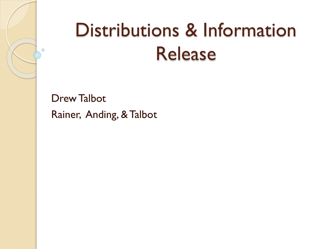## Distributions & Information Release

Drew Talbot Rainer, Anding, & Talbot

 $\circ$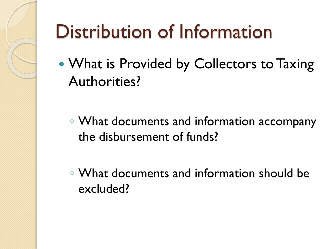## Distribution of Information

- What is Provided by Collectors to Taxing Authorities?
	- What documents and information accompany the disbursement of funds?
	- What documents and information should be excluded?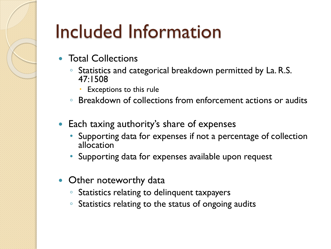## Included Information

- Total Collections
	- Statistics and categorical breakdown permitted by La. R.S. 47:1508
		- Exceptions to this rule
	- Breakdown of collections from enforcement actions or audits
- Each taxing authority's share of expenses
	- Supporting data for expenses if not a percentage of collection allocation
	- Supporting data for expenses available upon request
- Other noteworthy data
	- Statistics relating to delinquent taxpayers
	- Statistics relating to the status of ongoing audits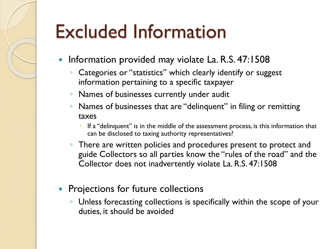## Excluded Information

- Information provided may violate La. R.S. 47:1508
	- Categories or "statistics" which clearly identify or suggest information pertaining to a specific taxpayer
	- Names of businesses currently under audit
	- Names of businesses that are "delinquent" in filing or remitting taxes
		- If a "delinquent" is in the middle of the assessment process, is this information that can be disclosed to taxing authority representatives?
	- There are written policies and procedures present to protect and guide Collectors so all parties know the "rules of the road" and the Collector does not inadvertently violate La. R.S. 47:1508
- Projections for future collections
	- Unless forecasting collections is specifically within the scope of your duties, it should be avoided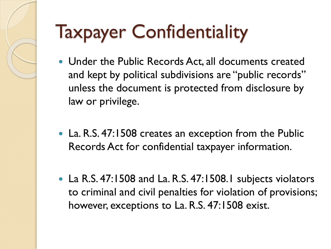# Taxpayer Confidentiality

- Under the Public Records Act, all documents created and kept by political subdivisions are "public records" unless the document is protected from disclosure by law or privilege.
- La. R.S. 47:1508 creates an exception from the Public Records Act for confidential taxpayer information.
- La R.S. 47:1508 and La. R.S. 47:1508.1 subjects violators to criminal and civil penalties for violation of provisions; however, exceptions to La. R.S. 47:1508 exist.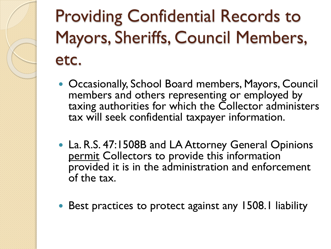### Providing Confidential Records to Mayors, Sheriffs, Council Members, etc.

- Occasionally, School Board members, Mayors, Council members and others representing or employed by taxing authorities for which the Collector administers tax will seek confidential taxpayer information.
- La. R.S. 47:1508B and LA Attorney General Opinions permit Collectors to provide this information provided it is in the administration and enforcement of the tax.
- Best practices to protect against any 1508.1 liability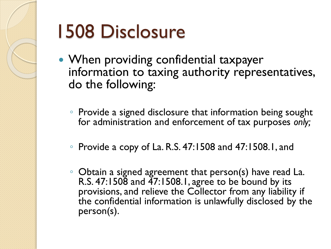

# 1508 Disclosure

- When providing confidential taxpayer information to taxing authority representatives, do the following:
	- Provide a signed disclosure that information being sought for administration and enforcement of tax purposes *only;*
	- Provide a copy of La. R.S. 47:1508 and 47:1508.1, and
	- Obtain a signed agreement that person(s) have read La. R.S. 47:1508 and 47:1508.1, agree to be bound by its provisions, and relieve the Collector from any liability if the confidential information is unlawfully disclosed by the person(s).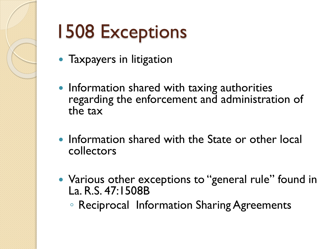

# 1508 Exceptions

- Taxpayers in litigation
- Information shared with taxing authorities regarding the enforcement and administration of the tax
- Information shared with the State or other local collectors
- Various other exceptions to "general rule" found in La. R.S. 47:1508B
	- Reciprocal Information Sharing Agreements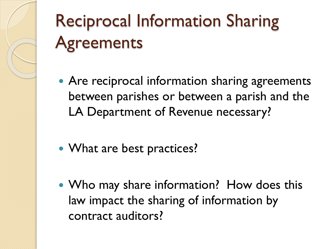### Reciprocal Information Sharing **Agreements**

- Are reciprocal information sharing agreements between parishes or between a parish and the LA Department of Revenue necessary?
- What are best practices?
- Who may share information? How does this law impact the sharing of information by contract auditors?